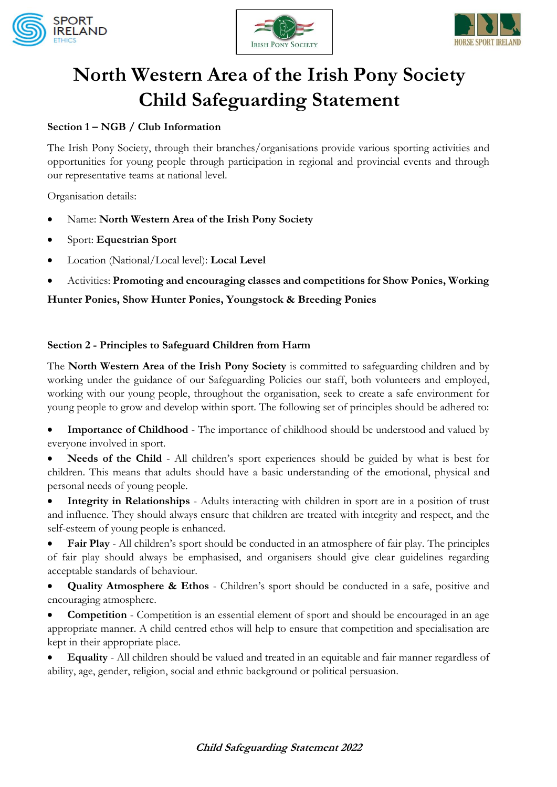





# **North Western Area of the Irish Pony Society Child Safeguarding Statement**

## **Section 1 – NGB / Club Information**

The Irish Pony Society, through their branches/organisations provide various sporting activities and opportunities for young people through participation in regional and provincial events and through our representative teams at national level.

Organisation details:

- Name: **North Western Area of the Irish Pony Society**
- Sport: **Equestrian Sport**
- Location (National/Local level): **Local Level**
- Activities: **Promoting and encouraging classes and competitions for Show Ponies, Working**

## **Hunter Ponies, Show Hunter Ponies, Youngstock & Breeding Ponies**

## **Section 2 - Principles to Safeguard Children from Harm**

The **North Western Area of the Irish Pony Society** is committed to safeguarding children and by working under the guidance of our Safeguarding Policies our staff, both volunteers and employed, working with our young people, throughout the organisation, seek to create a safe environment for young people to grow and develop within sport. The following set of principles should be adhered to:

Importance of Childhood - The importance of childhood should be understood and valued by everyone involved in sport.

**Needs of the Child** - All children's sport experiences should be guided by what is best for children. This means that adults should have a basic understanding of the emotional, physical and personal needs of young people.

• **Integrity in Relationships** - Adults interacting with children in sport are in a position of trust and influence. They should always ensure that children are treated with integrity and respect, and the self-esteem of young people is enhanced.

• **Fair Play** - All children's sport should be conducted in an atmosphere of fair play. The principles of fair play should always be emphasised, and organisers should give clear guidelines regarding acceptable standards of behaviour.

• **Quality Atmosphere & Ethos** - Children's sport should be conducted in a safe, positive and encouraging atmosphere.

• **Competition** - Competition is an essential element of sport and should be encouraged in an age appropriate manner. A child centred ethos will help to ensure that competition and specialisation are kept in their appropriate place.

• **Equality** - All children should be valued and treated in an equitable and fair manner regardless of ability, age, gender, religion, social and ethnic background or political persuasion.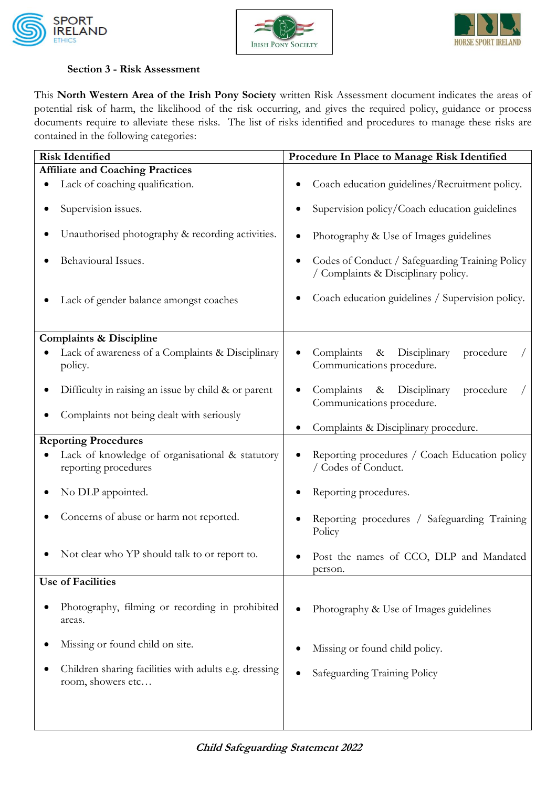





#### **Section 3 - Risk Assessment**

This **North Western Area of the Irish Pony Society** written Risk Assessment document indicates the areas of potential risk of harm, the likelihood of the risk occurring, and gives the required policy, guidance or process documents require to alleviate these risks.The list of risks identified and procedures to manage these risks are contained in the following categories:

| <b>Risk Identified</b>                                                     | Procedure In Place to Manage Risk Identified                                           |  |  |
|----------------------------------------------------------------------------|----------------------------------------------------------------------------------------|--|--|
| <b>Affiliate and Coaching Practices</b>                                    |                                                                                        |  |  |
| Lack of coaching qualification.                                            | Coach education guidelines/Recruitment policy.                                         |  |  |
| Supervision issues.                                                        | Supervision policy/Coach education guidelines                                          |  |  |
| Unauthorised photography & recording activities.                           | Photography & Use of Images guidelines                                                 |  |  |
| Behavioural Issues.                                                        | Codes of Conduct / Safeguarding Training Policy<br>/ Complaints & Disciplinary policy. |  |  |
| Lack of gender balance amongst coaches                                     | Coach education guidelines / Supervision policy.                                       |  |  |
| <b>Complaints &amp; Discipline</b>                                         |                                                                                        |  |  |
| Lack of awareness of a Complaints & Disciplinary<br>policy.                | Disciplinary<br>Complaints<br>procedure<br>$\&$<br>Communications procedure.           |  |  |
| Difficulty in raising an issue by child & or parent                        | Complaints<br>& Disciplinary<br>procedure<br>Communications procedure.                 |  |  |
| Complaints not being dealt with seriously                                  | Complaints & Disciplinary procedure.                                                   |  |  |
| <b>Reporting Procedures</b>                                                |                                                                                        |  |  |
| Lack of knowledge of organisational & statutory<br>reporting procedures    | Reporting procedures / Coach Education policy<br>/ Codes of Conduct.                   |  |  |
| No DLP appointed.                                                          | Reporting procedures.                                                                  |  |  |
| Concerns of abuse or harm not reported.                                    | Reporting procedures / Safeguarding Training<br>Policy                                 |  |  |
| Not clear who YP should talk to or report to.                              | Post the names of CCO, DLP and Mandated<br>person.                                     |  |  |
| <b>Use of Facilities</b>                                                   |                                                                                        |  |  |
| Photography, filming or recording in prohibited<br>areas.                  | Photography & Use of Images guidelines                                                 |  |  |
| Missing or found child on site.                                            | Missing or found child policy.                                                         |  |  |
| Children sharing facilities with adults e.g. dressing<br>room, showers etc | Safeguarding Training Policy                                                           |  |  |
|                                                                            |                                                                                        |  |  |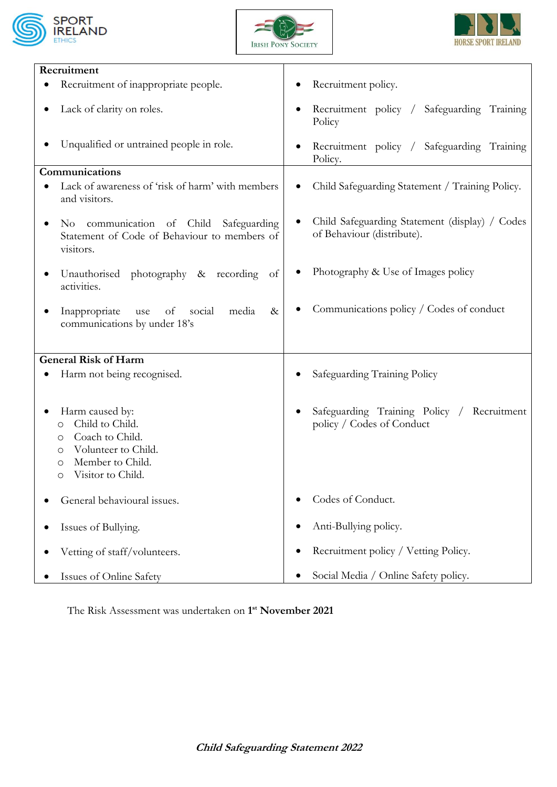





| Recruitment                                                                                                                                    |                                                                              |  |  |  |  |
|------------------------------------------------------------------------------------------------------------------------------------------------|------------------------------------------------------------------------------|--|--|--|--|
| Recruitment of inappropriate people.                                                                                                           | Recruitment policy.                                                          |  |  |  |  |
| Lack of clarity on roles.                                                                                                                      | Recruitment policy / Safeguarding Training<br>٠<br>Policy                    |  |  |  |  |
| Unqualified or untrained people in role.                                                                                                       | Recruitment policy / Safeguarding Training<br>Policy.                        |  |  |  |  |
| Communications                                                                                                                                 |                                                                              |  |  |  |  |
| Lack of awareness of 'risk of harm' with members<br>and visitors.                                                                              | Child Safeguarding Statement / Training Policy.                              |  |  |  |  |
| No communication of Child<br>Safeguarding<br>Statement of Code of Behaviour to members of<br>visitors.                                         | Child Safeguarding Statement (display) / Codes<br>of Behaviour (distribute). |  |  |  |  |
| Unauthorised photography & recording of<br>activities.                                                                                         | Photography & Use of Images policy                                           |  |  |  |  |
| Inappropriate<br>social<br>use<br>of<br>media<br>$\&$<br>communications by under 18's                                                          | Communications policy / Codes of conduct                                     |  |  |  |  |
| <b>General Risk of Harm</b>                                                                                                                    |                                                                              |  |  |  |  |
| Harm not being recognised.                                                                                                                     | Safeguarding Training Policy                                                 |  |  |  |  |
| Harm caused by:<br>Child to Child.<br>O<br>Coach to Child.<br>O<br>Volunteer to Child.<br>O<br>Member to Child.<br>O<br>Visitor to Child.<br>O | Safeguarding Training Policy / Recruitment<br>policy / Codes of Conduct      |  |  |  |  |
| General behavioural issues.                                                                                                                    | Codes of Conduct.                                                            |  |  |  |  |
| Issues of Bullying.                                                                                                                            | Anti-Bullying policy.<br>٠                                                   |  |  |  |  |
| Vetting of staff/volunteers.                                                                                                                   | Recruitment policy / Vetting Policy.<br>$\bullet$                            |  |  |  |  |
| Issues of Online Safety                                                                                                                        | Social Media / Online Safety policy.                                         |  |  |  |  |

The Risk Assessment was undertaken on **1 st November 2021**